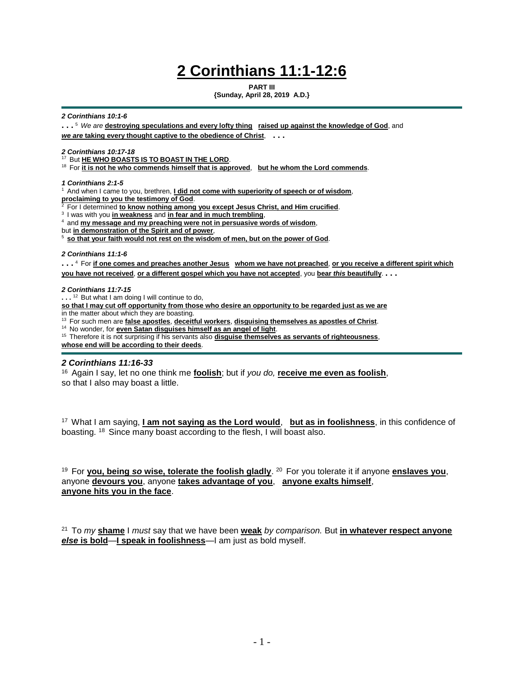# **2 Corinthians 11:1-12:6**

**PART III**

**{Sunday, April 28, 2019 A.D.}**

#### *2 Corinthians 10:1-6*

**. . .** <sup>5</sup>*We are* **destroying speculations and every lofty thing raised up against the knowledge of God**, and *we are* **taking every thought captive to the obedience of Christ**, **. . .**

*2 Corinthians 10:17-18*

<sup>17</sup>But **HE WHO BOASTS IS TO BOAST IN THE LORD**.

<sup>18</sup> For it is not he who commends himself that is approved, but he whom the Lord commends.

*1 Corinthians 2:1-5*

<sup>1</sup> And when I came to you, brethren, **I did not come with superiority of speech or of wisdom**,

**proclaiming to you the testimony of God.** 

<sup>2</sup>For I determined **to know nothing among you except Jesus Christ, and Him crucified**.

<sup>3</sup>I was with you **in weakness** and **in fear and in much trembling**,

<sup>4</sup> and **my message and my preaching were not in persuasive words of wisdom,** 

but **in demonstration of the Spirit and of power**,

<sup>5</sup>**so that your faith would not rest on the wisdom of men, but on the power of God**.

#### *2 Corinthians 11:1-6*

**. . .** <sup>4</sup>For **if one comes and preaches another Jesus whom we have not preached**, **or you receive a different spirit which you have not received**, **or a different gospel which you have not accepted**, you **bear** *this* **beautifully**. **. . .**

#### *2 Corinthians 11:7-15*

...<sup>12</sup> But what I am doing I will continue to do,

**so that I may cut off opportunity from those who desire an opportunity to be regarded just as we are**

in the matter about which they are boasting.

<sup>13</sup> For such men are false apostles, deceitful workers, disguising themselves as apostles of Christ.

<sup>14</sup> No wonder, for **even Satan disguises himself as an angel of light**.

<sup>15</sup> Therefore it is not surprising if his servants also **disguise themselves as servants of righteousness**, **whose end will be according to their deeds**.

## *2 Corinthians 11:16-33*

<sup>16</sup>Again I say, let no one think me **foolish**; but if *you do,* **receive me even as foolish**, so that I also may boast a little.

<sup>17</sup>What I am saying, **I am not saying as the Lord would**, **but as in foolishness**, in this confidence of boasting. <sup>18</sup> Since many boast according to the flesh, I will boast also.

<sup>19</sup> For you, being so wise, tolerate the foolish gladly. <sup>20</sup> For you tolerate it if anyone enslaves you, anyone **devours you**, anyone **takes advantage of you**, **anyone exalts himself**, **anyone hits you in the face**.

<sup>21</sup>To *my* **shame** I *must* say that we have been **weak** *by comparison.* But **in whatever respect anyone**  *else* **is bold**—**I speak in foolishness**—I am just as bold myself.